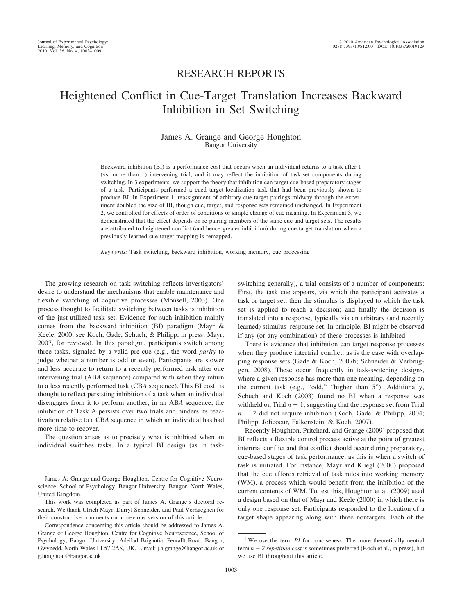## RESEARCH REPORTS

# Heightened Conflict in Cue-Target Translation Increases Backward Inhibition in Set Switching

## James A. Grange and George Houghton Bangor University

Backward inhibition (BI) is a performance cost that occurs when an individual returns to a task after 1 (vs. more than 1) intervening trial, and it may reflect the inhibition of task-set components during switching. In 3 experiments, we support the theory that inhibition can target cue-based preparatory stages of a task. Participants performed a cued target-localization task that had been previously shown to produce BI. In Experiment 1, reassignment of arbitrary cue-target pairings midway through the experiment doubled the size of BI, though cue, target, and response sets remained unchanged. In Experiment 2, we controlled for effects of order of conditions or simple change of cue meaning. In Experiment 3, we demonstrated that the effect depends on re-pairing members of the same cue and target sets. The results are attributed to heightened conflict (and hence greater inhibition) during cue-target translation when a previously learned cue-target mapping is remapped.

*Keywords:* Task switching, backward inhibition, working memory, cue processing

The growing research on task switching reflects investigators' desire to understand the mechanisms that enable maintenance and flexible switching of cognitive processes (Monsell, 2003). One process thought to facilitate switching between tasks is inhibition of the just-utilized task set. Evidence for such inhibition mainly comes from the backward inhibition (BI) paradigm (Mayr & Keele, 2000; see Koch, Gade, Schuch, & Philipp, in press; Mayr, 2007, for reviews). In this paradigm, participants switch among three tasks, signaled by a valid pre-cue (e.g., the word *parity* to judge whether a number is odd or even). Participants are slower and less accurate to return to a recently performed task after one intervening trial (AB*A* sequence) compared with when they return to a less recently performed task (CBA sequence). This BI cost<sup>1</sup> is thought to reflect persisting inhibition of a task when an individual disengages from it to perform another; in an AB*A* sequence, the inhibition of Task A persists over two trials and hinders its reactivation relative to a CB*A* sequence in which an individual has had more time to recover.

The question arises as to precisely what is inhibited when an individual switches tasks. In a typical BI design (as in taskswitching generally), a trial consists of a number of components: First, the task cue appears, via which the participant activates a task or target set; then the stimulus is displayed to which the task set is applied to reach a decision; and finally the decision is translated into a response, typically via an arbitrary (and recently learned) stimulus–response set. In principle, BI might be observed if any (or any combination) of these processes is inhibited.

There is evidence that inhibition can target response processes when they produce intertrial conflict, as is the case with overlapping response sets (Gade & Koch, 2007b; Schneider & Verbruggen, 2008). These occur frequently in task-switching designs, where a given response has more than one meaning, depending on the current task (e.g., "odd," "higher than 5"). Additionally, Schuch and Koch (2003) found no BI when a response was withheld on Trial  $n - 1$ , suggesting that the response set from Trial  $n - 2$  did not require inhibition (Koch, Gade, & Philipp, 2004; Philipp, Jolicoeur, Falkenstein, & Koch, 2007).

Recently Houghton, Pritchard, and Grange (2009) proposed that BI reflects a flexible control process active at the point of greatest intertrial conflict and that conflict should occur during preparatory, cue-based stages of task performance, as this is when a switch of task is initiated. For instance, Mayr and Kliegl (2000) proposed that the cue affords retrieval of task rules into working memory (WM), a process which would benefit from the inhibition of the current contents of WM. To test this, Houghton et al. (2009) used a design based on that of Mayr and Keele (2000) in which there is only one response set. Participants responded to the location of a target shape appearing along with three nontargets. Each of the

James A. Grange and George Houghton, Centre for Cognitive Neuroscience, School of Psychology, Bangor University, Bangor, North Wales, United Kingdom.

This work was completed as part of James A. Grange's doctoral research. We thank Ulrich Mayr, Darryl Schneider, and Paul Verhaeghen for their constructive comments on a previous version of this article.

Correspondence concerning this article should be addressed to James A. Grange or George Houghton, Centre for Cognitive Neuroscience, School of Psychology, Bangor University, Adeilad Brigantia, Penrallt Road, Bangor, Gwynedd, North Wales LL57 2AS, UK. E-mail: j.a.grange@bangor.ac.uk or g.houghton@bangor.ac.uk

<sup>&</sup>lt;sup>1</sup> We use the term *BI* for conciseness. The more theoretically neutral term  $n - 2$  repetition cost is sometimes preferred (Koch et al., in press), but we use BI throughout this article.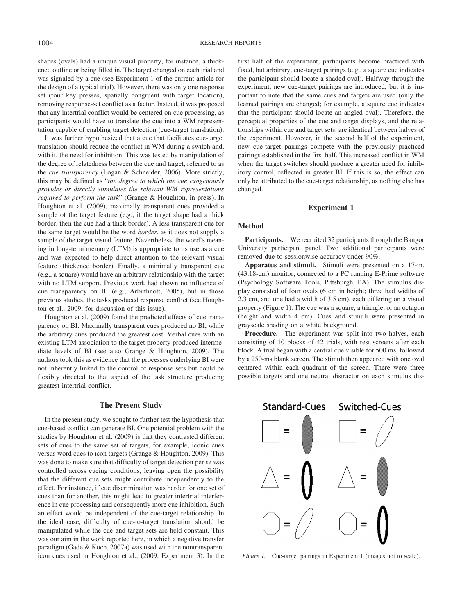shapes (ovals) had a unique visual property, for instance, a thickened outline or being filled in. The target changed on each trial and was signaled by a cue (see Experiment 1 of the current article for the design of a typical trial). However, there was only one response set (four key presses, spatially congruent with target location), removing response-set conflict as a factor. Instead, it was proposed that any intertrial conflict would be centered on cue processing, as participants would have to translate the cue into a WM representation capable of enabling target detection (cue-target translation).

It was further hypothesized that a cue that facilitates cue-target translation should reduce the conflict in WM during a switch and, with it, the need for inhibition. This was tested by manipulation of the degree of relatedness between the cue and target, referred to as the *cue transparency* (Logan & Schneider, 2006). More strictly, this may be defined as "*the degree to which the cue exogenously provides or directly stimulates the relevant WM representations required to perform the task*" (Grange & Houghton, in press). In Houghton et al. (2009), maximally transparent cues provided a sample of the target feature (e.g., if the target shape had a thick border, then the cue had a thick border). A less transparent cue for the same target would be the word *border*, as it does not supply a sample of the target visual feature. Nevertheless, the word's meaning in long-term memory (LTM) is appropriate to its use as a cue and was expected to help direct attention to the relevant visual feature (thickened border). Finally, a minimally transparent cue (e.g., a square) would have an arbitrary relationship with the target with no LTM support. Previous work had shown no influence of cue transparency on BI (e.g., Arbuthnott, 2005), but in those previous studies, the tasks produced response conflict (see Houghton et al., 2009, for discussion of this issue).

Houghton et al. (2009) found the predicted effects of cue transparency on BI: Maximally transparent cues produced no BI, while the arbitrary cues produced the greatest cost. Verbal cues with an existing LTM association to the target property produced intermediate levels of BI (see also Grange & Houghton, 2009). The authors took this as evidence that the processes underlying BI were not inherently linked to the control of response sets but could be flexibly directed to that aspect of the task structure producing greatest intertrial conflict.

## **The Present Study**

In the present study, we sought to further test the hypothesis that cue-based conflict can generate BI. One potential problem with the studies by Houghton et al. (2009) is that they contrasted different sets of cues to the same set of targets, for example, iconic cues versus word cues to icon targets (Grange & Houghton, 2009). This was done to make sure that difficulty of target detection per se was controlled across cueing conditions, leaving open the possibility that the different cue sets might contribute independently to the effect. For instance, if cue discrimination was harder for one set of cues than for another, this might lead to greater intertrial interference in cue processing and consequently more cue inhibition. Such an effect would be independent of the cue-target relationship. In the ideal case, difficulty of cue-to-target translation should be manipulated while the cue and target sets are held constant. This was our aim in the work reported here, in which a negative transfer paradigm (Gade & Koch, 2007a) was used with the nontransparent icon cues used in Houghton et al., (2009, Experiment 3). In the first half of the experiment, participants become practiced with fixed, but arbitrary, cue-target pairings (e.g., a square cue indicates the participant should locate a shaded oval). Halfway through the experiment, new cue-target pairings are introduced, but it is important to note that the same cues and targets are used (only the learned pairings are changed; for example, a square cue indicates that the participant should locate an angled oval). Therefore, the perceptual properties of the cue and target displays, and the relationships within cue and target sets, are identical between halves of the experiment. However, in the second half of the experiment, new cue-target pairings compete with the previously practiced pairings established in the first half. This increased conflict in WM when the target switches should produce a greater need for inhibitory control, reflected in greater BI. If this is so, the effect can only be attributed to the cue-target relationship, as nothing else has changed.

## **Experiment 1**

## **Method**

**Participants.** We recruited 32 participants through the Bangor University participant panel. Two additional participants were removed due to sessionwise accuracy under 90%.

**Apparatus and stimuli.** Stimuli were presented on a 17-in. (43.18-cm) monitor, connected to a PC running E-Prime software (Psychology Software Tools, Pittsburgh, PA). The stimulus display consisted of four ovals (6 cm in height; three had widths of 2.3 cm, and one had a width of 3.5 cm), each differing on a visual property (Figure 1). The cue was a square, a triangle, or an octagon (height and width 4 cm). Cues and stimuli were presented in grayscale shading on a white background.

**Procedure.** The experiment was split into two halves, each consisting of 10 blocks of 42 trials, with rest screens after each block. A trial began with a central cue visible for 500 ms, followed by a 250-ms blank screen. The stimuli then appeared with one oval centered within each quadrant of the screen. There were three possible targets and one neutral distractor on each stimulus dis-



*Figure 1.* Cue-target pairings in Experiment 1 (images not to scale).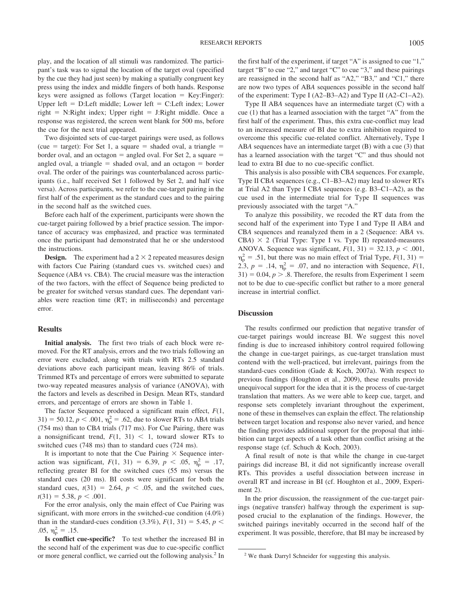play, and the location of all stimuli was randomized. The participant's task was to signal the location of the target oval (specified by the cue they had just seen) by making a spatially congruent key press using the index and middle fingers of both hands. Response keys were assigned as follows (Target location = Key: Finger): Upper left  $= D$ :Left middle; Lower left  $= C$ :Left index; Lower  $right = N:Right$  index; Upper right  $= J:Right$  middle. Once a response was registered, the screen went blank for 500 ms, before the cue for the next trial appeared.

Two disjointed sets of cue-target pairings were used, as follows (cue = target): For Set 1, a square = shaded oval, a triangle = border oval, and an octagon  $=$  angled oval. For Set 2, a square  $=$ angled oval, a triangle  $=$  shaded oval, and an octagon  $=$  border oval. The order of the pairings was counterbalanced across participants (i.e., half received Set 1 followed by Set 2, and half vice versa). Across participants, we refer to the cue-target pairing in the first half of the experiment as the standard cues and to the pairing in the second half as the switched cues.

Before each half of the experiment, participants were shown the cue-target pairing followed by a brief practice session. The importance of accuracy was emphasized, and practice was terminated once the participant had demonstrated that he or she understood the instructions.

**Design.** The experiment had a  $2 \times 2$  repeated measures design with factors Cue Pairing (standard cues vs. switched cues) and Sequence (AB*A* vs. CB*A*). The crucial measure was the interaction of the two factors, with the effect of Sequence being predicted to be greater for switched versus standard cues. The dependant variables were reaction time (RT; in milliseconds) and percentage error.

#### **Results**

**Initial analysis.** The first two trials of each block were removed. For the RT analysis, errors and the two trials following an error were excluded, along with trials with RTs 2.5 standard deviations above each participant mean, leaving 86% of trials. Trimmed RTs and percentage of errors were submitted to separate two-way repeated measures analysis of variance (ANOVA), with the factors and levels as described in Design*.* Mean RTs, standard errors, and percentage of errors are shown in Table 1.

The factor Sequence produced a significant main effect, *F*(1,  $31$ ) = 50.12, *p* < .001,  $\eta_p^2$  = .62, due to slower RTs to AB*A* trials (754 ms) than to CB*A* trials (717 ms). For Cue Pairing, there was a nonsignificant trend,  $F(1, 31) < 1$ , toward slower RTs to switched cues (748 ms) than to standard cues (724 ms).

It is important to note that the Cue Pairing  $\times$  Sequence interaction was significant,  $F(1, 31) = 6.39, p < .05, \eta_p^2 = .17,$ reflecting greater BI for the switched cues (55 ms) versus the standard cues (20 ms). BI costs were significant for both the standard cues,  $t(31) = 2.64$ ,  $p < .05$ , and the switched cues,  $t(31) = 5.38, p < .001.$ 

For the error analysis, only the main effect of Cue Pairing was significant, with more errors in the switched-cue condition (4.0%) than in the standard-cues condition  $(3.3\%)$ ,  $F(1, 31) = 5.45$ ,  $p <$ .05,  $\eta_p^2 = .15$ .

**Is conflict cue-specific?** To test whether the increased BI in the second half of the experiment was due to cue-specific conflict or more general conflict, we carried out the following analysis.<sup>2</sup> In the first half of the experiment, if target "A" is assigned to cue "1," target "B" to cue "2," and target "C" to cue "3," and these pairings are reassigned in the second half as "A2," "B3," and "C1," there are now two types of AB*A* sequences possible in the second half of the experiment: Type I (A2–B3–A2) and Type II (A2–C1–A2).

Type II AB*A* sequences have an intermediate target (C) with a cue (1) that has a learned association with the target "A" from the first half of the experiment. Thus, this extra cue-conflict may lead to an increased measure of BI due to extra inhibition required to overcome this specific cue-related conflict. Alternatively, Type I AB*A* sequences have an intermediate target (B) with a cue (3) that has a learned association with the target "C" and thus should not lead to extra BI due to no cue-specific conflict.

This analysis is also possible with CB*A* sequences. For example, Type II CB*A* sequences (e.g., C1–B3–A2) may lead to slower RTs at Trial A2 than Type I CB*A* sequences (e.g. B3–C1–A2), as the cue used in the intermediate trial for Type II sequences was previously associated with the target "A."

To analyze this possibility, we recoded the RT data from the second half of the experiment into Type I and Type II AB*A* and CB*A* sequences and reanalyzed them in a 2 (Sequence: AB*A* vs. CBA)  $\times$  2 (Trial Type: Type I vs. Type II) repeated-measures ANOVA. Sequence was significant,  $F(1, 31) = 32.13$ ,  $p < .001$ ,  $\eta_{\rm p}^2$  = .51, but there was no main effect of Trial Type,  $F(1, 31)$  = 2.3,  $p = .14$ ,  $\eta_p^2 = .07$ , and no interaction with Sequence,  $F(1,$  $31$ ) = 0.04,  $p > 0.8$ . Therefore, the results from Experiment 1 seem not to be due to cue-specific conflict but rather to a more general increase in intertrial conflict.

## **Discussion**

The results confirmed our prediction that negative transfer of cue-target pairings would increase BI. We suggest this novel finding is due to increased inhibitory control required following the change in cue-target pairings, as cue-target translation must contend with the well-practiced, but irrelevant, pairings from the standard-cues condition (Gade & Koch, 2007a). With respect to previous findings (Houghton et al., 2009), these results provide unequivocal support for the idea that it is the process of cue-target translation that matters. As we were able to keep cue, target, and response sets completely invariant throughout the experiment, none of these in themselves can explain the effect. The relationship between target location and response also never varied, and hence the finding provides additional support for the proposal that inhibition can target aspects of a task other than conflict arising at the response stage (cf. Schuch & Koch, 2003).

A final result of note is that while the change in cue-target pairings did increase BI, it did not significantly increase overall RTs. This provides a useful dissociation between increase in overall RT and increase in BI (cf. Houghton et al., 2009, Experiment 2).

In the prior discussion, the reassignment of the cue-target pairings (negative transfer) halfway through the experiment is supposed crucial to the explanation of the findings. However, the switched pairings inevitably occurred in the second half of the experiment. It was possible, therefore, that BI may be increased by

<sup>2</sup> We thank Darryl Schneider for suggesting this analysis.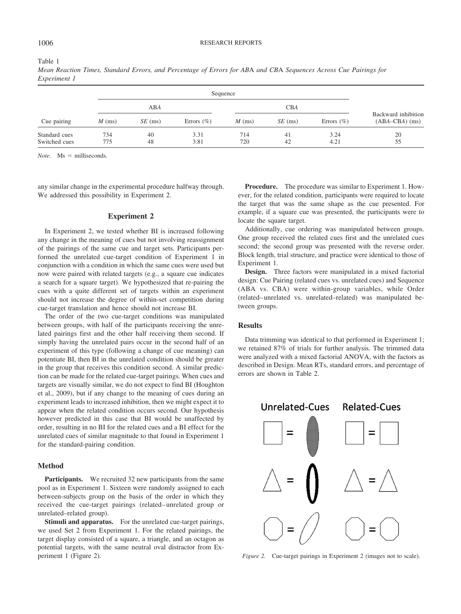#### Table 1

*Mean Reaction Times, Standard Errors, and Percentage of Errors for AB*A *and CB*A *Sequences Across Cue Pairings for Experiment 1*

| Cue pairing                    |            |           |                |            |           |                |                                         |
|--------------------------------|------------|-----------|----------------|------------|-----------|----------------|-----------------------------------------|
|                                | ABA        |           |                | <b>CBA</b> |           |                |                                         |
|                                | $M$ (ms)   | $SE$ (ms) | Errors $(\% )$ | $M$ (ms)   | $SE$ (ms) | Errors $(\% )$ | Backward inhibition<br>$(ABA-CBA)$ (ms) |
| Standard cues<br>Switched cues | 734<br>775 | 40<br>48  | 3.31<br>3.81   | 714<br>720 | 41<br>42  | 3.24<br>4.21   | 20<br>55                                |

 $Note.$   $Ms = milliseconds.$ 

any similar change in the experimental procedure halfway through. We addressed this possibility in Experiment 2.

## **Experiment 2**

In Experiment 2, we tested whether BI is increased following any change in the meaning of cues but not involving reassignment of the pairings of the same cue and target sets. Participants performed the unrelated cue-target condition of Experiment 1 in conjunction with a condition in which the same cues were used but now were paired with related targets (e.g., a square cue indicates a search for a square target). We hypothesized that re-pairing the cues with a quite different set of targets within an experiment should not increase the degree of within-set competition during cue-target translation and hence should not increase BI.

The order of the two cue-target conditions was manipulated between groups, with half of the participants receiving the unrelated pairings first and the other half receiving them second. If simply having the unrelated pairs occur in the second half of an experiment of this type (following a change of cue meaning) can potentiate BI, then BI in the unrelated condition should be greater in the group that receives this condition second. A similar prediction can be made for the related cue-target pairings. When cues and targets are visually similar, we do not expect to find BI (Houghton et al., 2009), but if any change to the meaning of cues during an experiment leads to increased inhibition, then we might expect it to appear when the related condition occurs second. Our hypothesis however predicted in this case that BI would be unaffected by order, resulting in no BI for the related cues and a BI effect for the unrelated cues of similar magnitude to that found in Experiment 1 for the standard-pairing condition.

## **Method**

Participants. We recruited 32 new participants from the same pool as in Experiment 1. Sixteen were randomly assigned to each between-subjects group on the basis of the order in which they received the cue-target pairings (related– unrelated group or unrelated–related group).

**Stimuli and apparatus.** For the unrelated cue-target pairings, we used Set 2 from Experiment 1. For the related pairings, the target display consisted of a square, a triangle, and an octagon as potential targets, with the same neutral oval distractor from Experiment 1 (Figure 2).

**Procedure.** The procedure was similar to Experiment 1. However, for the related condition, participants were required to locate the target that was the same shape as the cue presented. For example, if a square cue was presented, the participants were to locate the square target.

Additionally, cue ordering was manipulated between groups. One group received the related cues first and the unrelated cues second; the second group was presented with the reverse order. Block length, trial structure, and practice were identical to those of Experiment 1.

**Design.** Three factors were manipulated in a mixed factorial design: Cue Pairing (related cues vs. unrelated cues) and Sequence (ABA vs. CBA) were within-group variables, while Order (related– unrelated vs. unrelated–related) was manipulated between groups.

## **Results**

Data trimming was identical to that performed in Experiment 1; we retained 87% of trials for further analysis. The trimmed data were analyzed with a mixed factorial ANOVA, with the factors as described in Design. Mean RTs, standard errors, and percentage of errors are shown in Table 2.



*Figure 2.* Cue-target pairings in Experiment 2 (images not to scale).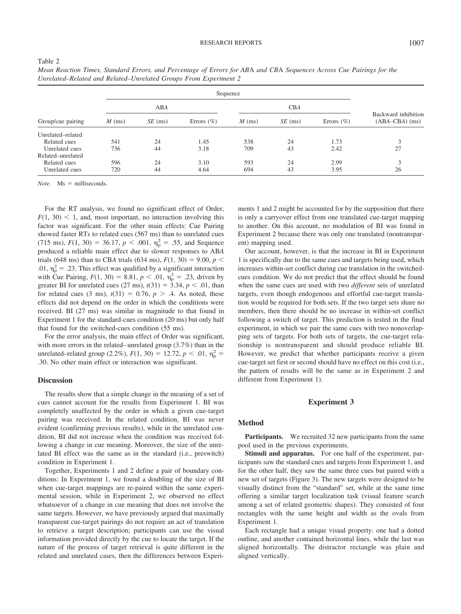| ۰, |  |
|----|--|
|    |  |

|                   |          | Sequence  |                |            |           |                |                                         |
|-------------------|----------|-----------|----------------|------------|-----------|----------------|-----------------------------------------|
| Group/cue pairing | ABA      |           |                | <b>CBA</b> |           |                |                                         |
|                   | $M$ (ms) | $SE$ (ms) | Errors $(\% )$ | $M$ (ms)   | $SE$ (ms) | Errors $(\% )$ | Backward inhibition<br>$(ABA-CBA)$ (ms) |
| Unrelated-related |          |           |                |            |           |                |                                         |
| Related cues      | 541      | 24        | 1.45           | 538        | 24        | 1.73           | 3                                       |
| Unrelated cues    | 736      | 44        | 3.18           | 709        | 43        | 2.42           | 27                                      |
| Related-unrelated |          |           |                |            |           |                |                                         |
| Related cues      | 596      | 24        | 3.10           | 593        | 24        | 2.99           | 3                                       |
| Unrelated cues    | 720      | 44        | 4.64           | 694        | 43        | 3.95           | 26                                      |

*Mean Reaction Times, Standard Errors, and Percentage of Errors for AB*A *and CB*A *Sequences Across Cue Pairings for the Unrelated–Related and Related–Unrelated Groups From Experiment 2*

 $Note.$   $Ms = milliseconds.$ 

For the RT analysis, we found no significant effect of Order,  $F(1, 30)$  < 1, and, most important, no interaction involving this factor was significant. For the other main effects: Cue Pairing showed faster RTs to related cues (567 ms) than to unrelated cues  $(715 \text{ ms})$ ,  $F(1, 30) = 36.17$ ,  $p < .001$ ,  $\eta_p^2 = .55$ , and Sequence produced a reliable main effect due to slower responses to AB*A* trials (648 ms) than to CBA trials (634 ms),  $F(1, 30) = 9.00, p <$ .01,  $\eta_p^2 = .23$ . This effect was qualified by a significant interaction with Cue Pairing,  $F(1, 30) = 8.81$ ,  $p < .01$ ,  $\eta_p^2 = .23$ , driven by greater BI for unrelated cues  $(27 \text{ ms})$ ,  $t(31) = 3.34$ ,  $p < .01$ , than for related cues  $(3 \text{ ms})$ ,  $t(31) = 0.76$ ,  $p > .4$ . As noted, these effects did not depend on the order in which the conditions were received. BI (27 ms) was similar in magnitude to that found in Experiment 1 for the standard-cues condition (20 ms) but only half that found for the switched-cues condition (55 ms).

For the error analysis, the main effect of Order was significant, with more errors in the related– unrelated group (3.7%) than in the unrelated–related group (2.2%),  $F(1, 30) = 12.72$ ,  $p < .01$ ,  $\eta_p^2 =$ .30. No other main effect or interaction was significant.

### **Discussion**

The results show that a simple change in the meaning of a set of cues cannot account for the results from Experiment 1. BI was completely unaffected by the order in which a given cue-target pairing was received. In the related condition, BI was never evident (confirming previous results), while in the unrelated condition, BI did not increase when the condition was received following a change in cue meaning. Moreover, the size of the unrelated BI effect was the same as in the standard (i.e., preswitch) condition in Experiment 1.

Together, Experiments 1 and 2 define a pair of boundary conditions: In Experiment 1, we found a doubling of the size of BI when cue-target mappings are re-paired within the same experimental session, while in Experiment 2, we observed no effect whatsoever of a change in cue meaning that does not involve the same targets. However, we have previously argued that maximally transparent cue-target pairings do not require an act of translation to retrieve a target description; participants can use the visual information provided directly by the cue to locate the target. If the nature of the process of target retrieval is quite different in the related and unrelated cases, then the differences between Experiments 1 and 2 might be accounted for by the supposition that there is only a carryover effect from one translated cue-target mapping to another. On this account, no modulation of BI was found in Experiment 2 because there was only one translated (nontransparent) mapping used.

Our account, however, is that the increase in BI in Experiment 1 is specifically due to the same cues and targets being used, which increases within-set conflict during cue translation in the switchedcues condition. We do not predict that the effect should be found when the same cues are used with two *different* sets of unrelated targets, even though endogenous and effortful cue-target translation would be required for both sets. If the two target sets share no members, then there should be no increase in within-set conflict following a switch of target. This prediction is tested in the final experiment, in which we pair the same cues with two nonoverlapping sets of targets. For both sets of targets, the cue-target relationship is nontransparent and should produce reliable BI. However, we predict that whether participants receive a given cue-target set first or second should have no effect on this cost (i.e., the pattern of results will be the same as in Experiment 2 and different from Experiment 1).

## **Experiment 3**

## **Method**

Participants. We recruited 32 new participants from the same pool used in the previous experiments.

**Stimuli and apparatus.** For one half of the experiment, participants saw the standard cues and targets from Experiment 1, and for the other half, they saw the same three cues but paired with a new set of targets (Figure 3). The new targets were designed to be visually distinct from the "standard" set, while at the same time offering a similar target localization task (visual feature search among a set of related geometric shapes). They consisted of four rectangles with the same height and width as the ovals from Experiment 1.

Each rectangle had a unique visual property: one had a dotted outline, and another contained horizontal lines, while the last was aligned horizontally. The distractor rectangle was plain and aligned vertically.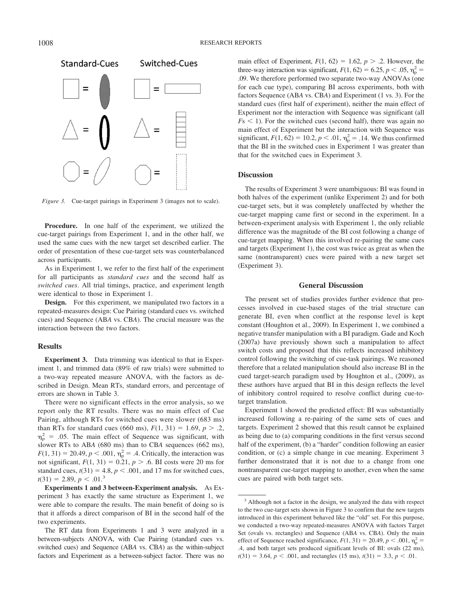

*Figure 3.* Cue-target pairings in Experiment 3 (images not to scale).

**Procedure.** In one half of the experiment, we utilized the cue-target pairings from Experiment 1, and in the other half, we used the same cues with the new target set described earlier. The order of presentation of these cue-target sets was counterbalanced across participants.

As in Experiment 1, we refer to the first half of the experiment for all participants as *standard cues* and the second half as *switched cues*. All trial timings, practice, and experiment length were identical to those in Experiment 1.

**Design.** For this experiment, we manipulated two factors in a repeated-measures design: Cue Pairing (standard cues vs. switched cues) and Sequence (AB*A* vs. CB*A*). The crucial measure was the interaction between the two factors.

## **Results**

**Experiment 3.** Data trimming was identical to that in Experiment 1, and trimmed data (89% of raw trials) were submitted to a two-way repeated measure ANOVA, with the factors as described in Design. Mean RTs, standard errors, and percentage of errors are shown in Table 3.

There were no significant effects in the error analysis, so we report only the RT results. There was no main effect of Cue Pairing, although RTs for switched cues were slower (683 ms) than RTs for standard cues (660 ms),  $F(1, 31) = 1.69$ ,  $p > .2$ ,  $\eta_{\rm p}^2$  = .05. The main effect of Sequence was significant, with slower RTs to AB*A* (680 ms) than to CB*A* sequences (662 ms),  $F(1, 31) = 20.49, p < .001, \eta_p^2 = .4$ . Critically, the interaction was not significant,  $F(1, 31) = 0.21$ ,  $p > .6$ . BI costs were 20 ms for standard cues,  $t(31) = 4.8$ ,  $p < .001$ , and 17 ms for switched cues,  $t(31) = 2.89, p < .01<sup>3</sup>$ 

**Experiments 1 and 3 between-Experiment analysis.** As Experiment 3 has exactly the same structure as Experiment 1, we were able to compare the results. The main benefit of doing so is that it affords a direct comparison of BI in the second half of the two experiments.

The RT data from Experiments 1 and 3 were analyzed in a between-subjects ANOVA, with Cue Pairing (standard cues vs. switched cues) and Sequence (AB*A* vs. CB*A*) as the within-subject factors and Experiment as a between-subject factor. There was no

main effect of Experiment,  $F(1, 62) = 1.62$ ,  $p > .2$ . However, the three-way interaction was significant,  $F(1, 62) = 6.25, p < .05, \eta_{\rm p}^2 =$ .09. We therefore performed two separate two-way ANOVAs (one for each cue type), comparing BI across experiments, both with factors Sequence (AB*A* vs. CB*A*) and Experiment (1 vs. 3). For the standard cues (first half of experiment), neither the main effect of Experiment nor the interaction with Sequence was significant (all  $F_s$  < 1). For the switched cues (second half), there was again no main effect of Experiment but the interaction with Sequence was significant,  $F(1, 62) = 10.2, p < .01, \eta_{\rm p}^2 = .14$ . We thus confirmed that the BI in the switched cues in Experiment 1 was greater than that for the switched cues in Experiment 3.

## **Discussion**

The results of Experiment 3 were unambiguous: BI was found in both halves of the experiment (unlike Experiment 2) and for both cue-target sets, but it was completely unaffected by whether the cue-target mapping came first or second in the experiment. In a between-experiment analysis with Experiment 1, the only reliable difference was the magnitude of the BI cost following a change of cue-target mapping. When this involved re-pairing the same cues and targets (Experiment 1), the cost was twice as great as when the same (nontransparent) cues were paired with a new target set (Experiment 3).

## **General Discussion**

The present set of studies provides further evidence that processes involved in cue-based stages of the trial structure can generate BI, even when conflict at the response level is kept constant (Houghton et al., 2009). In Experiment 1, we combined a negative transfer manipulation with a BI paradigm. Gade and Koch (2007a) have previously shown such a manipulation to affect switch costs and proposed that this reflects increased inhibitory control following the switching of cue-task pairings. We reasoned therefore that a related manipulation should also increase BI in the cued target-search paradigm used by Houghton et al., (2009), as these authors have argued that BI in this design reflects the level of inhibitory control required to resolve conflict during cue-totarget translation.

Experiment 1 showed the predicted effect: BI was substantially increased following a re-pairing of the same sets of cues and targets. Experiment 2 showed that this result cannot be explained as being due to (a) comparing conditions in the first versus second half of the experiment, (b) a "harder" condition following an easier condition, or (c) a simple change in cue meaning. Experiment 3 further demonstrated that it is not due to a change from one nontransparent cue-target mapping to another, even when the same cues are paired with both target sets.

<sup>&</sup>lt;sup>3</sup> Although not a factor in the design, we analyzed the data with respect to the two cue-target sets shown in Figure 3 to confirm that the new targets introduced in this experiment behaved like the "old" set. For this purpose, we conducted a two-way repeated-measures ANOVA with factors Target Set (ovals vs. rectangles) and Sequence (AB*A* vs. CB*A*). Only the main effect of Sequence reached significance,  $F(1, 31) = 20.49$ ,  $p < .001$ ,  $\eta_p^2 =$ .4, and both target sets produced significant levels of BI: ovals (22 ms),  $t(31) = 3.64, p < .001$ , and rectangles (15 ms),  $t(31) = 3.3, p < .01$ .